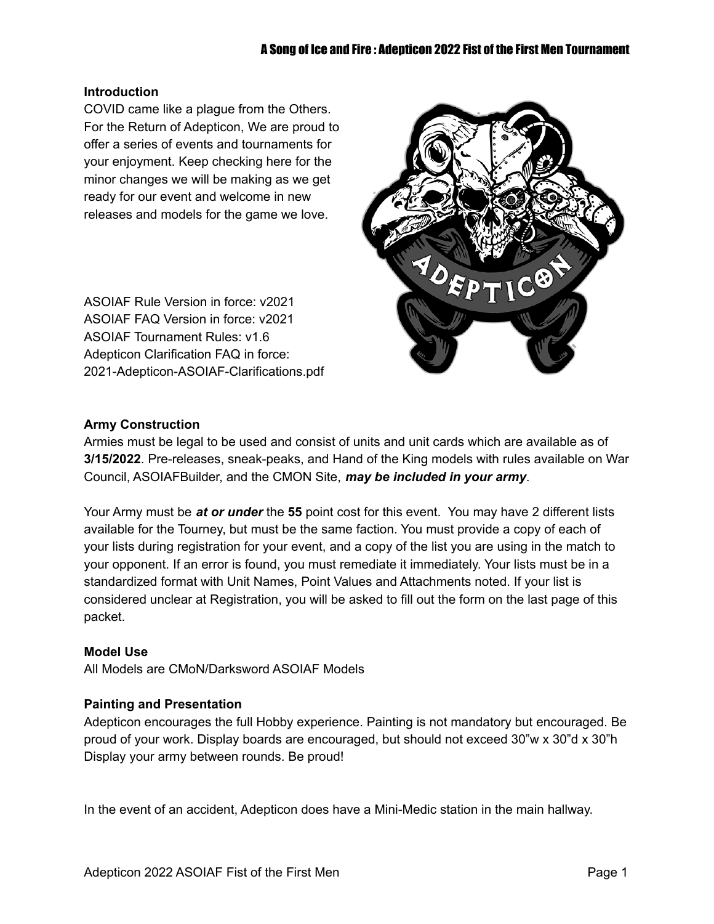## **Introduction**

COVID came like a plague from the Others. For the Return of Adepticon, We are proud to offer a series of events and tournaments for your enjoyment. Keep checking here for the minor changes we will be making as we get ready for our event and welcome in new releases and models for the game we love.

ASOIAF Rule Version in force: v2021 ASOIAF FAQ Version in force: v2021 ASOIAF Tournament Rules: v1.6 Adepticon Clarification FAQ in force: 2021-Adepticon-ASOIAF-Clarifications.pdf



## **Army Construction**

Armies must be legal to be used and consist of units and unit cards which are available as of **3/15/2022**. Pre-releases, sneak-peaks, and Hand of the King models with rules available on War Council, ASOIAFBuilder, and the CMON Site, *may be included in your army*.

Your Army must be *at or under* the **55** point cost for this event. You may have 2 different lists available for the Tourney, but must be the same faction. You must provide a copy of each of your lists during registration for your event, and a copy of the list you are using in the match to your opponent. If an error is found, you must remediate it immediately. Your lists must be in a standardized format with Unit Names, Point Values and Attachments noted. If your list is considered unclear at Registration, you will be asked to fill out the form on the last page of this packet.

# **Model Use**

All Models are CMoN/Darksword ASOIAF Models

#### **Painting and Presentation**

Adepticon encourages the full Hobby experience. Painting is not mandatory but encouraged. Be proud of your work. Display boards are encouraged, but should not exceed 30"w x 30"d x 30"h Display your army between rounds. Be proud!

In the event of an accident, Adepticon does have a Mini-Medic station in the main hallway.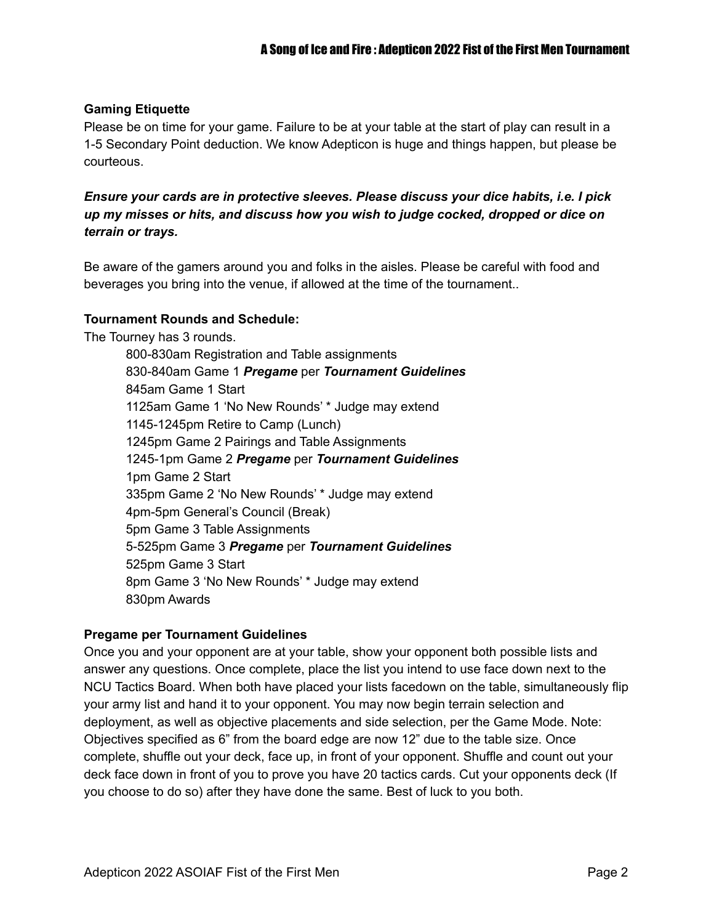# **Gaming Etiquette**

Please be on time for your game. Failure to be at your table at the start of play can result in a 1-5 Secondary Point deduction. We know Adepticon is huge and things happen, but please be courteous.

*Ensure your cards are in protective sleeves. Please discuss your dice habits, i.e. I pick up my misses or hits, and discuss how you wish to judge cocked, dropped or dice on terrain or trays.*

Be aware of the gamers around you and folks in the aisles. Please be careful with food and beverages you bring into the venue, if allowed at the time of the tournament..

## **Tournament Rounds and Schedule:**

The Tourney has 3 rounds.

800-830am Registration and Table assignments 830-840am Game 1 *Pregame* per *Tournament Guidelines* 845am Game 1 Start 1125am Game 1 'No New Rounds' \* Judge may extend 1145-1245pm Retire to Camp (Lunch) 1245pm Game 2 Pairings and Table Assignments 1245-1pm Game 2 *Pregame* per *Tournament Guidelines* 1pm Game 2 Start 335pm Game 2 'No New Rounds' \* Judge may extend 4pm-5pm General's Council (Break) 5pm Game 3 Table Assignments 5-525pm Game 3 *Pregame* per *Tournament Guidelines* 525pm Game 3 Start 8pm Game 3 'No New Rounds' \* Judge may extend 830pm Awards

#### **Pregame per Tournament Guidelines**

Once you and your opponent are at your table, show your opponent both possible lists and answer any questions. Once complete, place the list you intend to use face down next to the NCU Tactics Board. When both have placed your lists facedown on the table, simultaneously flip your army list and hand it to your opponent. You may now begin terrain selection and deployment, as well as objective placements and side selection, per the Game Mode. Note: Objectives specified as 6" from the board edge are now 12" due to the table size. Once complete, shuffle out your deck, face up, in front of your opponent. Shuffle and count out your deck face down in front of you to prove you have 20 tactics cards. Cut your opponents deck (If you choose to do so) after they have done the same. Best of luck to you both.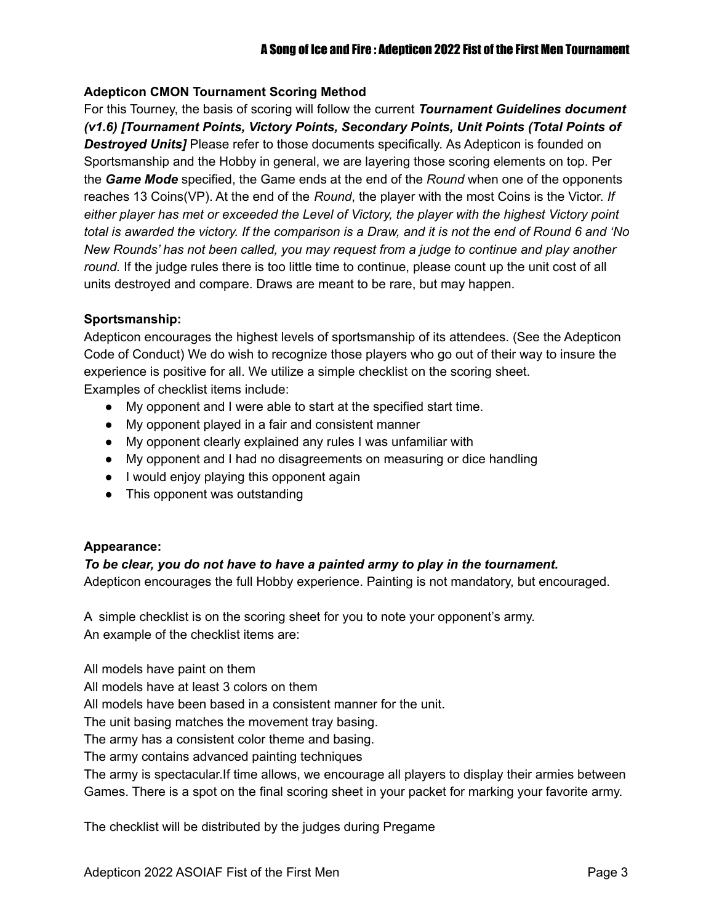## **Adepticon CMON Tournament Scoring Method**

For this Tourney, the basis of scoring will follow the current *Tournament Guidelines document (v1.6) [Tournament Points, Victory Points, Secondary Points, Unit Points (Total Points of Destroyed Units]* Please refer to those documents specifically. As Adepticon is founded on Sportsmanship and the Hobby in general, we are layering those scoring elements on top. Per the *Game Mode* specified, the Game ends at the end of the *Round* when one of the opponents reaches 13 Coins(VP). At the end of the *Round*, the player with the most Coins is the Victor. *If either player has met or exceeded the Level of Victory, the player with the highest Victory point* total is awarded the victory. If the comparison is a Draw, and it is not the end of Round 6 and 'No *New Rounds' has not been called, you may request from a judge to continue and play another round.* If the judge rules there is too little time to continue, please count up the unit cost of all units destroyed and compare. Draws are meant to be rare, but may happen.

#### **Sportsmanship:**

Adepticon encourages the highest levels of sportsmanship of its attendees. (See the Adepticon Code of Conduct) We do wish to recognize those players who go out of their way to insure the experience is positive for all. We utilize a simple checklist on the scoring sheet. Examples of checklist items include:

- My opponent and I were able to start at the specified start time.
- My opponent played in a fair and consistent manner
- My opponent clearly explained any rules I was unfamiliar with
- My opponent and I had no disagreements on measuring or dice handling
- I would enjoy playing this opponent again
- This opponent was outstanding

# **Appearance:**

# *To be clear, you do not have to have a painted army to play in the tournament.*

Adepticon encourages the full Hobby experience. Painting is not mandatory, but encouraged.

A simple checklist is on the scoring sheet for you to note your opponent's army. An example of the checklist items are:

All models have paint on them

All models have at least 3 colors on them

All models have been based in a consistent manner for the unit.

The unit basing matches the movement tray basing.

The army has a consistent color theme and basing.

The army contains advanced painting techniques

The army is spectacular.If time allows, we encourage all players to display their armies between Games. There is a spot on the final scoring sheet in your packet for marking your favorite army.

The checklist will be distributed by the judges during Pregame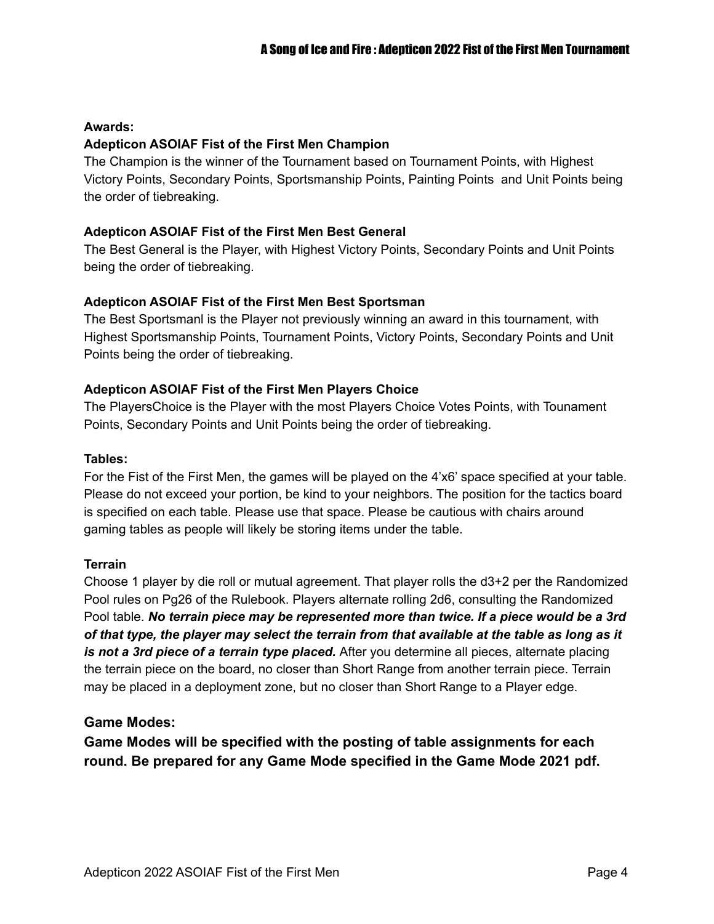# **Awards:**

# **Adepticon ASOIAF Fist of the First Men Champion**

The Champion is the winner of the Tournament based on Tournament Points, with Highest Victory Points, Secondary Points, Sportsmanship Points, Painting Points and Unit Points being the order of tiebreaking.

#### **Adepticon ASOIAF Fist of the First Men Best General**

The Best General is the Player, with Highest Victory Points, Secondary Points and Unit Points being the order of tiebreaking.

## **Adepticon ASOIAF Fist of the First Men Best Sportsman**

The Best Sportsmanl is the Player not previously winning an award in this tournament, with Highest Sportsmanship Points, Tournament Points, Victory Points, Secondary Points and Unit Points being the order of tiebreaking.

## **Adepticon ASOIAF Fist of the First Men Players Choice**

The PlayersChoice is the Player with the most Players Choice Votes Points, with Tounament Points, Secondary Points and Unit Points being the order of tiebreaking.

#### **Tables:**

For the Fist of the First Men, the games will be played on the 4'x6' space specified at your table. Please do not exceed your portion, be kind to your neighbors. The position for the tactics board is specified on each table. Please use that space. Please be cautious with chairs around gaming tables as people will likely be storing items under the table.

#### **Terrain**

Choose 1 player by die roll or mutual agreement. That player rolls the d3+2 per the Randomized Pool rules on Pg26 of the Rulebook. Players alternate rolling 2d6, consulting the Randomized Pool table. *No terrain piece may be represented more than twice. If a piece would be a 3rd* of that type, the player may select the terrain from that available at the table as long as it *is not a 3rd piece of a terrain type placed.* After you determine all pieces, alternate placing the terrain piece on the board, no closer than Short Range from another terrain piece. Terrain may be placed in a deployment zone, but no closer than Short Range to a Player edge.

# **Game Modes:**

**Game Modes will be specified with the posting of table assignments for each round. Be prepared for any Game Mode specified in the Game Mode 2021 pdf.**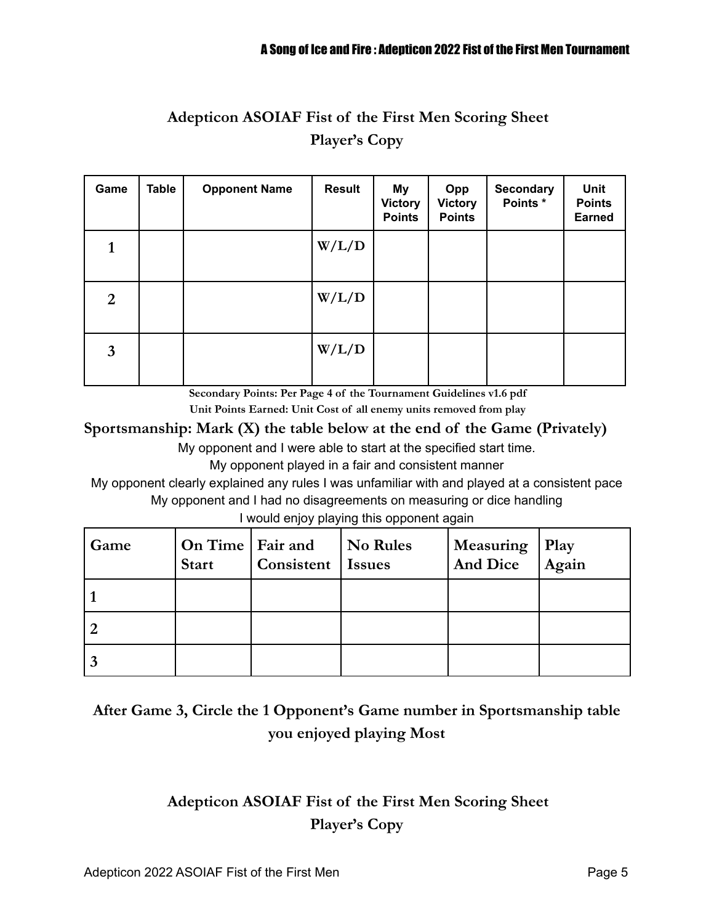# **Adepticon ASOIAF Fist of the First Men Scoring Sheet Player's Copy**

| Game           | <b>Table</b> | <b>Opponent Name</b> | <b>Result</b> | My<br><b>Victory</b><br><b>Points</b> | Opp<br><b>Victory</b><br><b>Points</b> | <b>Secondary</b><br>Points * | <b>Unit</b><br><b>Points</b><br><b>Earned</b> |
|----------------|--------------|----------------------|---------------|---------------------------------------|----------------------------------------|------------------------------|-----------------------------------------------|
| 1              |              |                      | W/L/D         |                                       |                                        |                              |                                               |
| $\overline{2}$ |              |                      | W/L/D         |                                       |                                        |                              |                                               |
| $\mathbf{3}$   |              |                      | W/L/D         |                                       |                                        |                              |                                               |

**Secondary Points: Per Page 4 of the Tournament Guidelines v1.6 pdf**

**Unit Points Earned: Unit Cost of all enemy units removed from play**

**Sportsmanship: Mark (X) the table below at the end of the Game (Privately)**

My opponent and I were able to start at the specified start time.

My opponent played in a fair and consistent manner

My opponent clearly explained any rules I was unfamiliar with and played at a consistent pace My opponent and I had no disagreements on measuring or dice handling

I would enjoy playing this opponent again

| Game | On Time   Fair and<br><b>Start</b> | Consistent | No Rules<br><b>Issues</b> | <b>Measuring</b><br><b>And Dice</b> | <b>Play</b><br>Again |
|------|------------------------------------|------------|---------------------------|-------------------------------------|----------------------|
|      |                                    |            |                           |                                     |                      |
|      |                                    |            |                           |                                     |                      |
|      |                                    |            |                           |                                     |                      |

# **After Game 3, Circle the 1 Opponent's Game number in Sportsmanship table you enjoyed playing Most**

# **Adepticon ASOIAF Fist of the First Men Scoring Sheet Player's Copy**